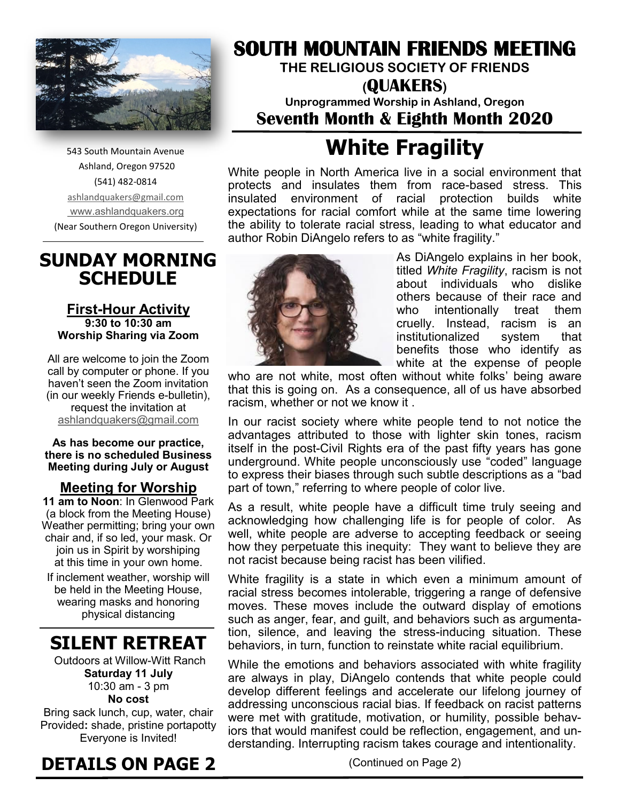

543 South Mountain Avenue Ashland, Oregon 97520 (541) 482-0814 [ashlandquakers@gmail.com](mailto:ashlandquakers@gmail.com) [www.ashlandquakers.org](http://www.ashlandquakers.org) (Near Southern Oregon University)

## **SUNDAY MORNING SCHEDULE**

#### **First-Hour Activity 9:30 to 10:30 am Worship Sharing via Zoom**

All are welcome to join the Zoom call by computer or phone. If you haven't seen the Zoom invitation (in our weekly Friends e-bulletin), request the invitation at [ashlandquakers@gmail.com](mailto:ashlandquakers@gmail.com)

#### **As has become our practice, there is no scheduled Business Meeting during July or August**

### **Meeting for Worship**

**11 am to Noon**: In Glenwood Park (a block from the Meeting House) Weather permitting; bring your own chair and, if so led, your mask. Or join us in Spirit by worshiping at this time in your own home.

If inclement weather, worship will be held in the Meeting House, wearing masks and honoring physical distancing

## **SILENT RETREAT**

Outdoors at Willow-Witt Ranch **Saturday 11 July**  10:30 am - 3 pm **No cost**  Bring sack lunch, cup, water, chair Provided**:** shade, pristine portapotty Everyone is Invited!

## **DETAILS ON PAGE 2**

## **SOUTH MOUNTAIN FRIENDS MEETING**

**THE RELIGIOUS SOCIETY OF FRIENDS**

### **(QUAKERS) Unprogrammed Worship in Ashland, Oregon Seventh Month & Eighth Month 2020**

# **White Fragility**

White people in North America live in a social environment that protects and insulates them from race-based stress. This insulated environment of racial protection builds white expectations for racial comfort while at the same time lowering the ability to tolerate racial stress, leading to what educator and author Robin DiAngelo refers to as "white fragility."



As DiAngelo explains in her book, titled *White Fragility*, racism is not about individuals who dislike others because of their race and who intentionally treat them cruelly. Instead, racism is an institutionalized system that benefits those who identify as white at the expense of people

who are not white, most often without white folks' being aware that this is going on. As a consequence, all of us have absorbed racism, whether or not we know it .

In our racist society where white people tend to not notice the advantages attributed to those with lighter skin tones, racism itself in the post-Civil Rights era of the past fifty years has gone underground. White people unconsciously use "coded" language to express their biases through such subtle descriptions as a "bad part of town," referring to where people of color live.

As a result, white people have a difficult time truly seeing and acknowledging how challenging life is for people of color. As well, white people are adverse to accepting feedback or seeing how they perpetuate this inequity: They want to believe they are not racist because being racist has been vilified.

White fragility is a state in which even a minimum amount of racial stress becomes intolerable, triggering a range of defensive moves. These moves include the outward display of emotions such as anger, fear, and guilt, and behaviors such as argumentation, silence, and leaving the stress-inducing situation. These behaviors, in turn, function to reinstate white racial equilibrium.

While the emotions and behaviors associated with white fragility are always in play, DiAngelo contends that white people could develop different feelings and accelerate our lifelong journey of addressing unconscious racial bias. If feedback on racist patterns were met with gratitude, motivation, or humility, possible behaviors that would manifest could be reflection, engagement, and understanding. Interrupting racism takes courage and intentionality.

(Continued on Page 2)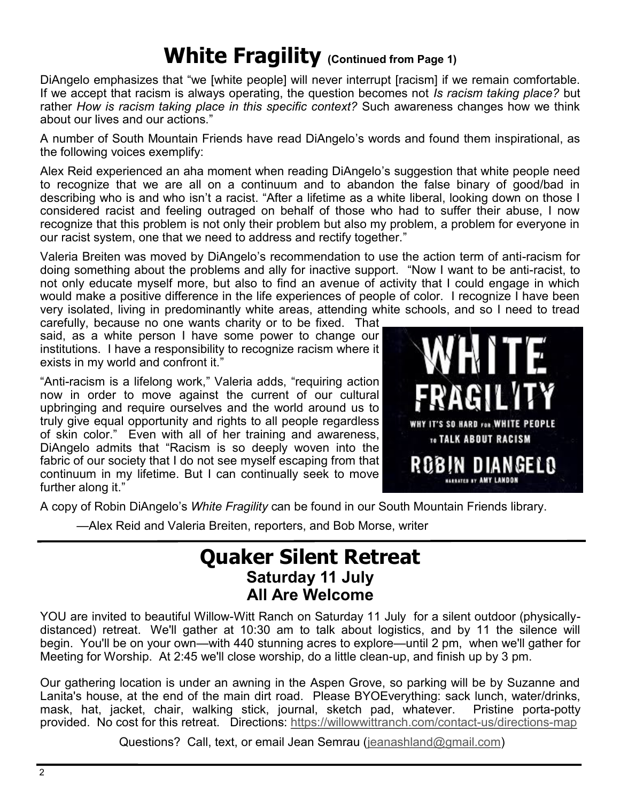## **White Fragility (Continued from Page 1)**

DiAngelo emphasizes that "we [white people] will never interrupt [racism] if we remain comfortable. If we accept that racism is always operating, the question becomes not *Is racism taking place?* but rather *How is racism taking place in this specific context?* Such awareness changes how we think about our lives and our actions."

A number of South Mountain Friends have read DiAngelo's words and found them inspirational, as the following voices exemplify:

Alex Reid experienced an aha moment when reading DiAngelo's suggestion that white people need to recognize that we are all on a continuum and to abandon the false binary of good/bad in describing who is and who isn't a racist. "After a lifetime as a white liberal, looking down on those I considered racist and feeling outraged on behalf of those who had to suffer their abuse, I now recognize that this problem is not only their problem but also my problem, a problem for everyone in our racist system, one that we need to address and rectify together."

Valeria Breiten was moved by DiAngelo's recommendation to use the action term of anti-racism for doing something about the problems and ally for inactive support. "Now I want to be anti-racist, to not only educate myself more, but also to find an avenue of activity that I could engage in which would make a positive difference in the life experiences of people of color. I recognize I have been very isolated, living in predominantly white areas, attending white schools, and so I need to tread

carefully, because no one wants charity or to be fixed. That said, as a white person I have some power to change our institutions. I have a responsibility to recognize racism where it exists in my world and confront it."

"Anti-racism is a lifelong work," Valeria adds, "requiring action now in order to move against the current of our cultural upbringing and require ourselves and the world around us to truly give equal opportunity and rights to all people regardless of skin color." Even with all of her training and awareness, DiAngelo admits that "Racism is so deeply woven into the fabric of our society that I do not see myself escaping from that continuum in my lifetime. But I can continually seek to move further along it."



A copy of Robin DiAngelo's *White Fragility* can be found in our South Mountain Friends library.

—Alex Reid and Valeria Breiten, reporters, and Bob Morse, writer

## **Quaker Silent Retreat Saturday 11 July All Are Welcome**

YOU are invited to beautiful Willow-Witt Ranch on Saturday 11 July for a silent outdoor (physicallydistanced) retreat. We'll gather at 10:30 am to talk about logistics, and by 11 the silence will begin. You'll be on your own—with 440 stunning acres to explore—until 2 pm, when we'll gather for Meeting for Worship. At 2:45 we'll close worship, do a little clean-up, and finish up by 3 pm.

Our gathering location is under an awning in the Aspen Grove, so parking will be by Suzanne and Lanita's house, at the end of the main dirt road. Please BYOEverything: sack lunch, water/drinks, mask, hat, jacket, chair, walking stick, journal, sketch pad, whatever. Pristine porta-potty provided. No cost for this retreat. Directions: [https://willowwittranch.com/contact](https://willowwittranch.com/contact-us/directions-map)-us/directions-map

Questions? Call, text, or email Jean Semrau ([jeanashland@gmail.com\)](mailto:jeanashland@gmail.com)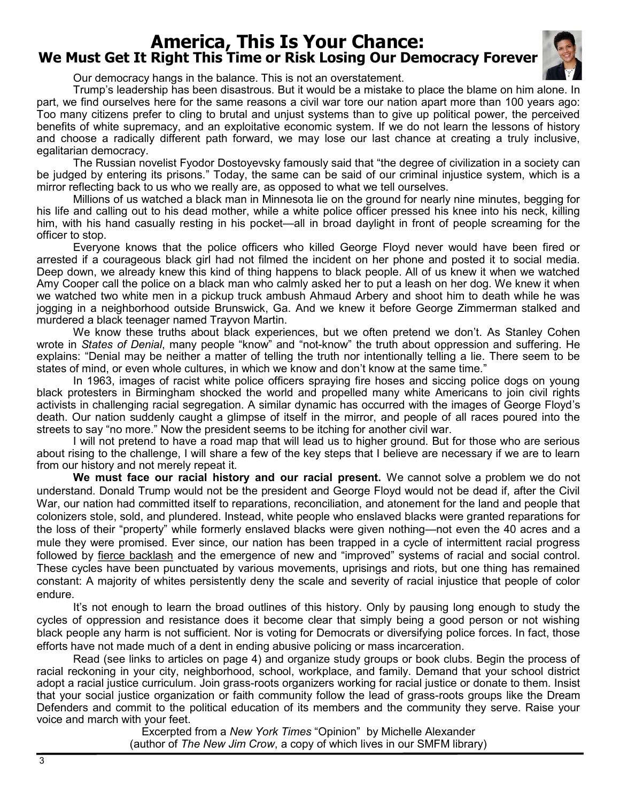### **America, This Is Your Chance: We Must Get It Right This Time or Risk Losing Our Democracy Forever**



Our democracy hangs in the balance. This is not an overstatement.

Trump's leadership has been disastrous. But it would be a mistake to place the blame on him alone. In part, we find ourselves here for the same reasons a civil war tore our nation apart more than 100 years ago: Too many citizens prefer to cling to brutal and unjust systems than to give up political power, the perceived benefits of white supremacy, and an exploitative economic system. If we do not learn the lessons of history and choose a radically different path forward, we may lose our last chance at creating a truly inclusive, egalitarian democracy.

The Russian novelist Fyodor Dostoyevsky famously said that "the degree of civilization in a society can be judged by entering its prisons." Today, the same can be said of our criminal injustice system, which is a mirror reflecting back to us who we really are, as opposed to what we tell ourselves.

Millions of us watched a black man in Minnesota lie on the ground for nearly nine minutes, begging for his life and calling out to his dead mother, while a white police officer pressed his knee into his neck, killing him, with his hand casually resting in his pocket—all in broad daylight in front of people screaming for the officer to stop.

Everyone knows that the police officers who killed George Floyd never would have been fired or arrested if a courageous black girl had not filmed the incident on her phone and posted it to social media. Deep down, we already knew this kind of thing happens to black people. All of us knew it when we watched Amy Cooper call the police on a black man who calmly asked her to put a leash on her dog. We knew it when we watched two white men in a pickup truck ambush Ahmaud Arbery and shoot him to death while he was jogging in a neighborhood outside Brunswick, Ga. And we knew it before George Zimmerman stalked and murdered a black teenager named Trayvon Martin.

We know these truths about black experiences, but we often pretend we don't. As Stanley Cohen wrote in *[States of Denial](https://www.wiley.com/en-us/States+of+Denial%3A+Knowing+about+Atrocities+and+Suffering-p-9780745623924)*, many people "know" and "not-know" the truth about oppression and suffering. He explains: "Denial may be neither a matter of telling the truth nor intentionally telling a lie. There seem to be states of mind, or even whole cultures, in which we know and don't know at the same time."

In 1963, images of racist white police officers spraying fire hoses and siccing police dogs on young black protesters in Birmingham shocked the world and propelled many white Americans to join civil rights activists in challenging racial segregation. A similar dynamic has occurred with the images of George Floyd's death. Our nation suddenly caught a glimpse of itself in the mirror, and people of all races poured into the streets to say "no more." Now the president seems to be itching for another civil war.

I will not pretend to have a road map that will lead us to higher ground. But for those who are serious about rising to the challenge, I will share a few of the key steps that I believe are necessary if we are to learn from our history and not merely repeat it.

**We must face our racial history and our racial present.** We cannot solve a problem we do not understand. Donald Trump would not be the president and George Floyd would not be dead if, after the Civil War, our nation had committed itself to reparations, reconciliation, and atonement for the land and people that colonizers stole, sold, and plundered. Instead, white people who enslaved blacks were granted reparations for the loss of their "property" while formerly enslaved blacks were given nothing—not even the 40 acres and a mule they were promised. Ever since, our nation has been trapped in a cycle of intermittent racial progress followed by [fierce backlash](https://www.nytimes.com/2016/03/03/opinion/donald-trump-and-reconstruction-era-politics.html) and the emergence of new and "improved" systems of racial and social control. These cycles have been punctuated by various movements, uprisings and riots, but one thing has remained constant: A majority of whites persistently deny the scale and severity of racial injustice that people of color endure.

It's not enough to learn the broad outlines of this history. Only by pausing long enough to study the cycles of oppression and resistance does it become clear that simply being a good person or not wishing black people any harm is not sufficient. Nor is voting for Democrats or diversifying police forces. In fact, those efforts have not made much of a dent in ending abusive policing or mass incarceration.

Read (see links to articles on page 4) and organize study groups or book clubs. Begin the process of racial reckoning in your city, neighborhood, school, workplace, and family. Demand that your school district adopt a racial justice curriculum. Join grass-roots organizers working for racial justice or donate to them. Insist that your social justice organization or faith community follow the lead of grass-roots groups like the Dream Defenders and commit to the political education of its members and the community they serve. Raise your voice and march with your feet.

Excerpted from a *New York Times* "Opinion" by Michelle Alexander (author of *The New Jim Crow*, a copy of which lives in our SMFM library)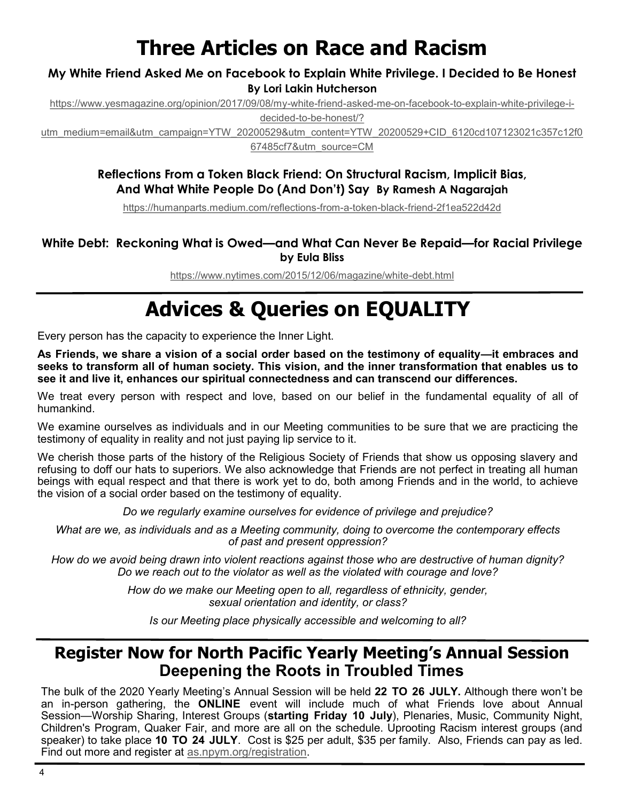## **Three Articles on Race and Racism**

### **[My White Friend Asked Me on Facebook to Explain White Privilege. I Decided to Be Honest](https://yesmagazine.cmail19.com/t/d-l-mhrtuuk-vdlyhukhl-p/) By Lori Lakin Hutcherson**

[https://www.yesmagazine.org/opinion/2017/09/08/my](https://www.yesmagazine.org/opinion/2017/09/08/my-white-friend-asked-me-on-facebook-to-explain-white-privilege-i-decided-to-be-honest/?utm_medium=email&utm_campaign=YTW_20200529&utm_content=YTW_20200529+CID_6120cd107123021c357c12f067485cf7&utm_source=CM)-white-friend-asked-me-on-facebook-to-explain-white-privilege-i-

decided-to-be-[honest/?](https://www.yesmagazine.org/opinion/2017/09/08/my-white-friend-asked-me-on-facebook-to-explain-white-privilege-i-decided-to-be-honest/?utm_medium=email&utm_campaign=YTW_20200529&utm_content=YTW_20200529+CID_6120cd107123021c357c12f067485cf7&utm_source=CM)

[utm\\_medium=email&utm\\_campaign=YTW\\_20200529&utm\\_content=YTW\\_20200529+CID\\_6120cd107123021c357c12f0](https://www.yesmagazine.org/opinion/2017/09/08/my-white-friend-asked-me-on-facebook-to-explain-white-privilege-i-decided-to-be-honest/?utm_medium=email&utm_campaign=YTW_20200529&utm_content=YTW_20200529+CID_6120cd107123021c357c12f067485cf7&utm_source=CM) [67485cf7&utm\\_source=CM](https://www.yesmagazine.org/opinion/2017/09/08/my-white-friend-asked-me-on-facebook-to-explain-white-privilege-i-decided-to-be-honest/?utm_medium=email&utm_campaign=YTW_20200529&utm_content=YTW_20200529+CID_6120cd107123021c357c12f067485cf7&utm_source=CM)

### **Reflections From a Token Black Friend: On Structural Racism, Implicit Bias, And What White People Do (And Don't) Say By Ramesh A Nagarajah**

[https://humanparts.medium.com/reflections](https://humanparts.medium.com/reflections-from-a-token-black-friend-2f1ea522d42d)-from-a-token-black-friend-2f1ea522d42d

### **White Debt: Reckoning What is Owed—and What Can Never Be Repaid—for Racial Privilege by Eula Bliss**

[https://www.nytimes.com/2015/12/06/magazine/white](https://www.nytimes.com/2015/12/06/magazine/white-debt.html)-debt.html

# **Advices & Queries on EQUALITY**

Every person has the capacity to experience the Inner Light.

**As Friends, we share a vision of a social order based on the testimony of equality—it embraces and seeks to transform all of human society. This vision, and the inner transformation that enables us to see it and live it, enhances our spiritual connectedness and can transcend our differences.**

We treat every person with respect and love, based on our belief in the fundamental equality of all of humankind.

We examine ourselves as individuals and in our Meeting communities to be sure that we are practicing the testimony of equality in reality and not just paying lip service to it.

We cherish those parts of the history of the Religious Society of Friends that show us opposing slavery and refusing to doff our hats to superiors. We also acknowledge that Friends are not perfect in treating all human beings with equal respect and that there is work yet to do, both among Friends and in the world, to achieve the vision of a social order based on the testimony of equality.

*Do we regularly examine ourselves for evidence of privilege and prejudice?*

*What are we, as individuals and as a Meeting community, doing to overcome the contemporary effects of past and present oppression?*

*How do we avoid being drawn into violent reactions against those who are destructive of human dignity? Do we reach out to the violator as well as the violated with courage and love?*

> *How do we make our Meeting open to all, regardless of ethnicity, gender, sexual orientation and identity, or class?*

*Is our Meeting place physically accessible and welcoming to all?*

## **Register Now for North Pacific Yearly Meeting's Annual Session Deepening the Roots in Troubled Times**

The bulk of the 2020 Yearly Meeting's Annual Session will be held **22 TO 26 JULY.** Although there won't be an in-person gathering, the **ONLINE** event will include much of what Friends love about Annual Session—Worship Sharing, Interest Groups (**starting Friday 10 July**), Plenaries, Music, Community Night, Children's Program, Quaker Fair, and more are all on the schedule. Uprooting Racism interest groups (and speaker) to take place **10 TO 24 JULY**. Cost is \$25 per adult, \$35 per family. Also, Friends can pay as led. Find out more and register at [as.npym.org/registration.](http://as.npym.org/registration)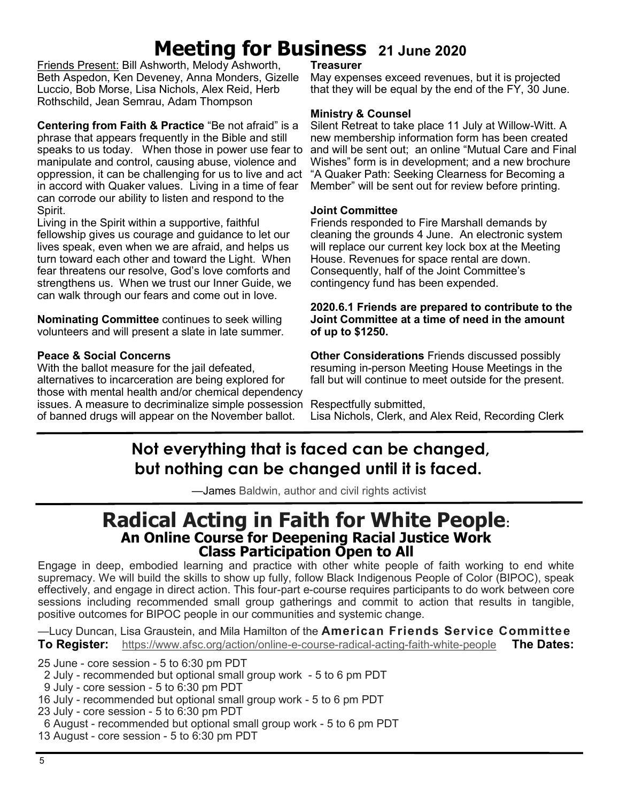# **Meeting for Business 21 June 2020**

Friends Present: Bill Ashworth, Melody Ashworth, Beth Aspedon, Ken Deveney, Anna Monders, Gizelle Luccio, Bob Morse, Lisa Nichols, Alex Reid, Herb Rothschild, Jean Semrau, Adam Thompson

**Centering from Faith & Practice** "Be not afraid" is a phrase that appears frequently in the Bible and still speaks to us today. When those in power use fear to manipulate and control, causing abuse, violence and oppression, it can be challenging for us to live and act in accord with Quaker values. Living in a time of fear can corrode our ability to listen and respond to the Spirit.

Living in the Spirit within a supportive, faithful fellowship gives us courage and guidance to let our lives speak, even when we are afraid, and helps us turn toward each other and toward the Light. When fear threatens our resolve, God's love comforts and strengthens us. When we trust our Inner Guide, we can walk through our fears and come out in love.

**Nominating Committee** continues to seek willing volunteers and will present a slate in late summer.

### **Peace & Social Concerns**

With the ballot measure for the jail defeated, alternatives to incarceration are being explored for those with mental health and/or chemical dependency issues. A measure to decriminalize simple possession Respectfully submitted, of banned drugs will appear on the November ballot.

#### **Treasurer**

May expenses exceed revenues, but it is projected that they will be equal by the end of the FY, 30 June.

#### **Ministry & Counsel**

Silent Retreat to take place 11 July at Willow-Witt. A new membership information form has been created and will be sent out; an online "Mutual Care and Final Wishes" form is in development; and a new brochure "A Quaker Path: Seeking Clearness for Becoming a Member" will be sent out for review before printing.

#### **Joint Committee**

Friends responded to Fire Marshall demands by cleaning the grounds 4 June. An electronic system will replace our current key lock box at the Meeting House. Revenues for space rental are down. Consequently, half of the Joint Committee's contingency fund has been expended.

#### **2020.6.1 Friends are prepared to contribute to the Joint Committee at a time of need in the amount of up to \$1250.**

**Other Considerations** Friends discussed possibly resuming in-person Meeting House Meetings in the fall but will continue to meet outside for the present.

Lisa Nichols, Clerk, and Alex Reid, Recording Clerk

## **Not everything that is faced can be changed, but nothing can be changed until it is faced.**

—James Baldwin, author and civil rights activist

### **Radical Acting in Faith for White People: An Online Course for Deepening Racial Justice Work Class Participation Open to All**

Engage in deep, embodied learning and practice with other white people of faith working to end white supremacy. We will build the skills to show up fully, follow Black Indigenous People of Color (BIPOC), speak effectively, and engage in direct action. This four-part e-course requires participants to do work between core sessions including recommended small group gatherings and commit to action that results in tangible, positive outcomes for BIPOC people in our communities and systemic change.

—Lucy Duncan, Lisa Graustein, and Mila Hamilton of the **American Friends Service Committee To Register:** [https://www.afsc.org/action/online](https://www.afsc.org/action/online-e-course-radical-acting-faith-white-people)-e-course-radical-acting-faith-white-people **The Dates:**

25 June - core session - 5 to 6:30 pm PDT

2 July - recommended but optional small group work - 5 to 6 pm PDT

9 July - core session - 5 to 6:30 pm PDT

16 July - recommended but optional small group work - 5 to 6 pm PDT

23 July - core session - 5 to 6:30 pm PDT

6 August - recommended but optional small group work - 5 to 6 pm PDT

13 August - core session - 5 to 6:30 pm PDT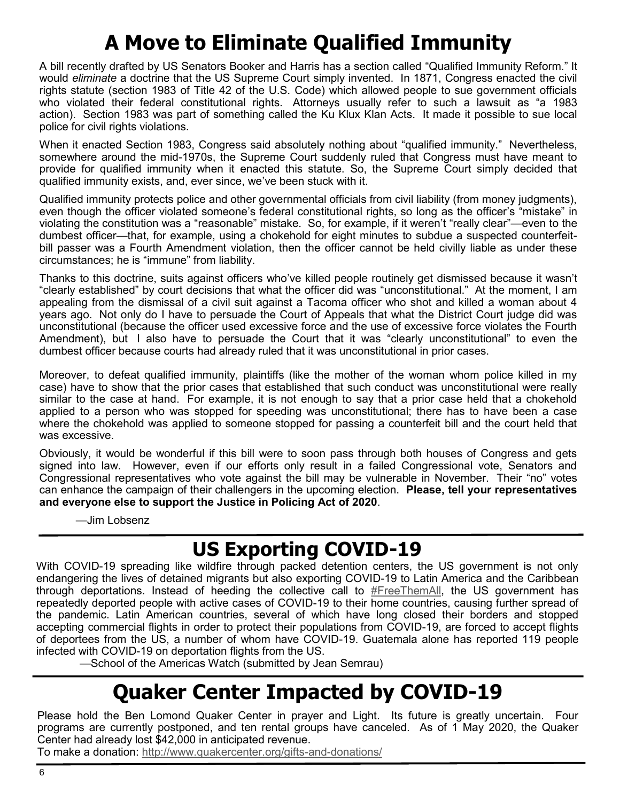## **A Move to Eliminate Qualified Immunity**

A bill recently drafted by US Senators Booker and Harris has a section called "Qualified Immunity Reform." It would *eliminate* a doctrine that the US Supreme Court simply invented. In 1871, Congress enacted the civil rights statute (section 1983 of Title 42 of the U.S. Code) which allowed people to sue government officials who violated their federal constitutional rights. Attorneys usually refer to such a lawsuit as "a 1983 action). Section 1983 was part of something called the Ku Klux Klan Acts. It made it possible to sue local police for civil rights violations.

When it enacted Section 1983, Congress said absolutely nothing about "qualified immunity." Nevertheless, somewhere around the mid-1970s, the Supreme Court suddenly ruled that Congress must have meant to provide for qualified immunity when it enacted this statute. So, the Supreme Court simply decided that qualified immunity exists, and, ever since, we've been stuck with it.

Qualified immunity protects police and other governmental officials from civil liability (from money judgments), even though the officer violated someone's federal constitutional rights, so long as the officer's "mistake" in violating the constitution was a "reasonable" mistake. So, for example, if it weren't "really clear"—even to the dumbest officer—that, for example, using a chokehold for eight minutes to subdue a suspected counterfeitbill passer was a Fourth Amendment violation, then the officer cannot be held civilly liable as under these circumstances; he is "immune" from liability.

Thanks to this doctrine, suits against officers who've killed people routinely get dismissed because it wasn't "clearly established" by court decisions that what the officer did was "unconstitutional." At the moment, I am appealing from the dismissal of a civil suit against a Tacoma officer who shot and killed a woman about 4 years ago. Not only do I have to persuade the Court of Appeals that what the District Court judge did was unconstitutional (because the officer used excessive force and the use of excessive force violates the Fourth Amendment), but I also have to persuade the Court that it was "clearly unconstitutional" to even the dumbest officer because courts had already ruled that it was unconstitutional in prior cases.

Moreover, to defeat qualified immunity, plaintiffs (like the mother of the woman whom police killed in my case) have to show that the prior cases that established that such conduct was unconstitutional were really similar to the case at hand. For example, it is not enough to say that a prior case held that a chokehold applied to a person who was stopped for speeding was unconstitutional; there has to have been a case where the chokehold was applied to someone stopped for passing a counterfeit bill and the court held that was excessive.

Obviously, it would be wonderful if this bill were to soon pass through both houses of Congress and gets signed into law. However, even if our efforts only result in a failed Congressional vote, Senators and Congressional representatives who vote against the bill may be vulnerable in November. Their "no" votes can enhance the campaign of their challengers in the upcoming election. **Please, tell your representatives and everyone else to support the Justice in Policing Act of 2020**.

—Jim Lobsenz

## **US Exporting COVID-19**

With COVID-19 spreading like wildfire through packed detention centers, the US government is not only endangering the lives of detained migrants but also exporting COVID-19 to Latin America and the Caribbean through deportations. Instead of heeding the collective call to [#FreeThemAll,](http://org.salsalabs.com/dia/track.jsp?v=2&c=1XTBvDcXg5WXUJ%2B9Vbtl%2FL21j2LOUdwl) the US government has repeatedly deported people with active cases of COVID-19 to their home countries, causing further spread of the pandemic. Latin American countries, several of which have long closed their borders and stopped accepting commercial flights in order to protect their populations from COVID-19, are forced to accept flights of deportees from the US, a number of whom have COVID-19. Guatemala alone has reported 119 people infected with COVID-19 on deportation flights from the US.

—School of the Americas Watch (submitted by Jean Semrau)

## **Quaker Center Impacted by COVID-19**

Please hold the Ben Lomond Quaker Center in prayer and Light. Its future is greatly uncertain. Four programs are currently postponed, and ten rental groups have canceled. As of 1 May 2020, the Quaker Center had already lost \$42,000 in anticipated revenue.

To make a donation: [http://www.quakercenter.org/gifts](http://www.quakercenter.org/gifts-and-donations/)-and-donations/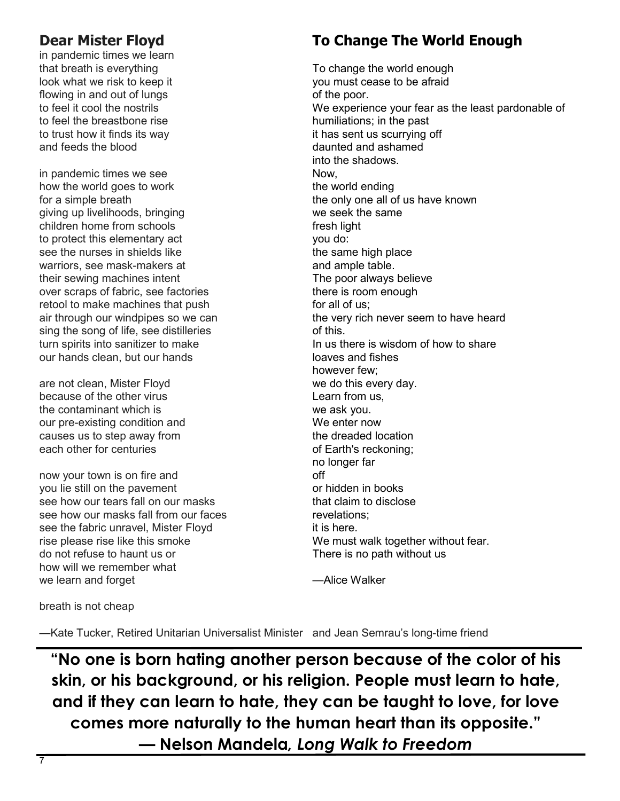### **Dear Mister Floyd**

in pandemic times we learn that breath is everything look what we risk to keep it flowing in and out of lungs to feel it cool the nostrils to feel the breastbone rise to trust how it finds its way and feeds the blood

in pandemic times we see how the world goes to work for a simple breath giving up livelihoods, bringing children home from schools to protect this elementary act see the nurses in shields like warriors, see mask-makers at their sewing machines intent over scraps of fabric, see factories retool to make machines that push air through our windpipes so we can sing the song of life, see distilleries turn spirits into sanitizer to make our hands clean, but our hands

are not clean, Mister Floyd because of the other virus the contaminant which is our pre-existing condition and causes us to step away from each other for centuries

now your town is on fire and you lie still on the pavement see how our tears fall on our masks see how our masks fall from our faces see the fabric unravel, Mister Floyd rise please rise like this smoke do not refuse to haunt us or how will we remember what we learn and forget

**To Change The World Enough**

To change the world enough you must cease to be afraid of the poor. We experience your fear as the least pardonable of humiliations; in the past it has sent us scurrying off daunted and ashamed into the shadows. Now, the world ending the only one all of us have known we seek the same fresh light you do: the same high place and ample table. The poor always believe there is room enough for all of us; the very rich never seem to have heard of this. In us there is wisdom of how to share loaves and fishes however few; we do this every day. Learn from us, we ask you. We enter now the dreaded location of Earth's reckoning; no longer far off or hidden in books that claim to disclose revelations; it is here. We must walk together without fear. There is no path without us

—Alice Walker

breath is not cheap

—Kate Tucker, Retired Unitarian Universalist Minister and Jean Semrau's long-time friend

**"No one is born hating another person because of the color of his skin, or his background, or his religion. People must learn to hate, and if they can learn to hate, they can be taught to love, for love comes more naturally to the human heart than its opposite."**  *—* **Nelson Mandela***, [Long Walk to Freedom](https://www.goodreads.com/work/quotes/2501119)*